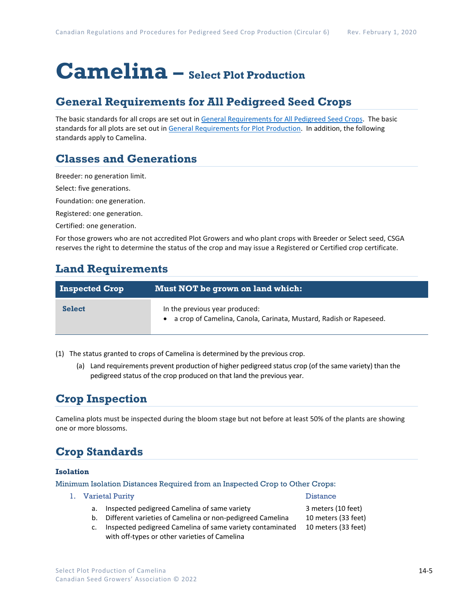# **Camelina – Select Plot Production**

### **General Requirements for All Pedigreed Seed Crops**

The basic standards for all crops are set out i[n General Requirements for All Pedigreed Seed](https://seedgrowers.ca/wp-content/uploads/2020/01/GENERAL-REQUIREMENTS-ALL-CROPS_EN.pdf) Crops. The basic standards for all plots are set out i[n General Requirements for Plot Production.](https://seedgrowers.ca/wp-content/uploads/2020/01/GENERAL-REQUIREMENTS-PLOTS_EN.pdf) In addition, the following standards apply to Camelina.

### **Classes and Generations**

Breeder: no generation limit.

Select: five generations.

Foundation: one generation.

Registered: one generation.

Certified: one generation.

For those growers who are not accredited Plot Growers and who plant crops with Breeder or Select seed, CSGA reserves the right to determine the status of the crop and may issue a Registered or Certified crop certificate.

### **Land Requirements**

| <b>Inspected Crop</b> | Must NOT be grown on land which:                                                                       |
|-----------------------|--------------------------------------------------------------------------------------------------------|
| <b>Select</b>         | In the previous year produced:<br>• a crop of Camelina, Canola, Carinata, Mustard, Radish or Rapeseed. |

(1) The status granted to crops of Camelina is determined by the previous crop.

(a) Land requirements prevent production of higher pedigreed status crop (of the same variety) than the pedigreed status of the crop produced on that land the previous year.

### **Crop Inspection**

Camelina plots must be inspected during the bloom stage but not before at least 50% of the plants are showing one or more blossoms.

## **Crop Standards**

#### **Isolation**

Minimum Isolation Distances Required from an Inspected Crop to Other Crops:

- 1. Varietal Purity Distance
	- a. Inspected pedigreed Camelina of same variety 3 meters (10 feet)
- - b. Different varieties of Camelina or non-pedigreed Camelina 10 meters (33 feet)
	- c. Inspected pedigreed Camelina of same variety contaminated 10 meters (33 feet) with off-types or other varieties of Camelina